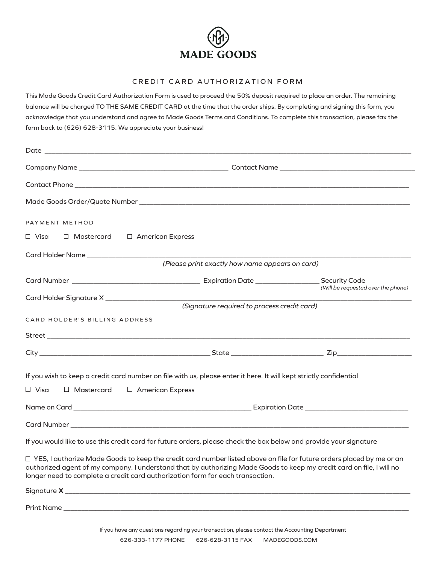

## CREDIT CARD AUTHORIZATION FORM

This Made Goods Credit Card Authorization Form is used to proceed the 50% deposit required to place an order. The remaining balance will be charged TO THE SAME CREDIT CARD at the time that the order ships. By completing and signing this form, you acknowledge that you understand and agree to Made Goods Terms and Conditions. To complete this transaction, please fax the form back to (626) 628-3115. We appreciate your business!

| PAYMENT METHOD                                                                                                                                                                                                                                                                                                                         |                                                 |                                    |
|----------------------------------------------------------------------------------------------------------------------------------------------------------------------------------------------------------------------------------------------------------------------------------------------------------------------------------------|-------------------------------------------------|------------------------------------|
| □ Visa<br>$\Box$ Mastercard $\Box$ American Express                                                                                                                                                                                                                                                                                    |                                                 |                                    |
| Card Holder Name                                                                                                                                                                                                                                                                                                                       |                                                 |                                    |
|                                                                                                                                                                                                                                                                                                                                        | (Please print exactly how name appears on card) |                                    |
|                                                                                                                                                                                                                                                                                                                                        |                                                 | (Will be requested over the phone) |
|                                                                                                                                                                                                                                                                                                                                        |                                                 |                                    |
|                                                                                                                                                                                                                                                                                                                                        | (Signature required to process credit card)     |                                    |
| CARD HOLDER'S BILLING ADDRESS                                                                                                                                                                                                                                                                                                          |                                                 |                                    |
|                                                                                                                                                                                                                                                                                                                                        |                                                 |                                    |
|                                                                                                                                                                                                                                                                                                                                        |                                                 |                                    |
| If you wish to keep a credit card number on file with us, please enter it here. It will kept strictly confidential                                                                                                                                                                                                                     |                                                 |                                    |
| $\Box$ Visa<br>$\Box$ Mastercard<br>□ American Express                                                                                                                                                                                                                                                                                 |                                                 |                                    |
|                                                                                                                                                                                                                                                                                                                                        |                                                 |                                    |
|                                                                                                                                                                                                                                                                                                                                        |                                                 |                                    |
| If you would like to use this credit card for future orders, please check the box below and provide your signature                                                                                                                                                                                                                     |                                                 |                                    |
| $\Box$ YES, I authorize Made Goods to keep the credit card number listed above on file for future orders placed by me or an<br>authorized agent of my company. I understand that by authorizing Made Goods to keep my credit card on file, I will no<br>longer need to complete a credit card authorization form for each transaction. |                                                 |                                    |
|                                                                                                                                                                                                                                                                                                                                        |                                                 |                                    |

Print Name \_\_\_\_\_\_\_\_\_\_\_\_\_\_\_\_\_\_\_\_\_\_\_\_\_\_\_\_\_\_\_\_\_\_\_\_\_\_\_\_\_\_\_\_\_\_\_\_\_\_\_\_\_\_\_\_\_\_\_\_\_\_\_\_\_\_\_\_\_\_\_\_\_\_\_\_\_\_\_\_\_\_\_\_\_\_\_\_\_\_\_\_\_\_\_\_\_